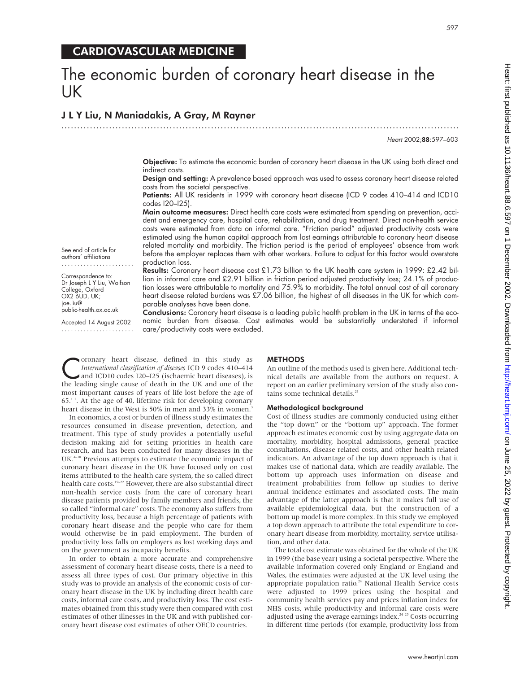# The economic burden of coronary heart disease in the UK

.............................................................................................................................

## J L Y Liu, N Maniadakis, A Gray, M Rayner

Heart 2002;88:597–603

Objective: To estimate the economic burden of coronary heart disease in the UK using both direct and indirect costs.

Design and setting: A prevalence based approach was used to assess coronary heart disease related costs from the societal perspective.

Patients: All UK residents in 1999 with coronary heart disease (ICD 9 codes 410-414 and ICD10 codes I20–I25).

Main outcome measures: Direct health care costs were estimated from spending on prevention, accident and emergency care, hospital care, rehabilitation, and drug treatment. Direct non-health service costs were estimated from data on informal care. "Friction period" adjusted productivity costs were estimated using the human capital approach from lost earnings attributable to coronary heart disease related mortality and morbidity. The friction period is the period of employees' absence from work before the employer replaces them with other workers. Failure to adjust for this factor would overstate production loss.

Results: Coronary heart disease cost £1.73 billion to the UK health care system in 1999: £2.42 billion in informal care and £2.91 billion in friction period adjusted productivity loss; 24.1% of production losses were attributable to mortality and 75.9% to morbidity. The total annual cost of all coronary heart disease related burdens was £7.06 billion, the highest of all diseases in the UK for which comparable analyses have been done.

Conclusions: Coronary heart disease is a leading public health problem in the UK in terms of the economic burden from disease. Cost estimates would be substantially understated if informal care/productivity costs were excluded.

See end of article for authors' affiliations .......................

Correspondence to: Dr Joseph L Y Liu, Wolfson College, Oxford OX2 6UD, UK; joe.liu@ public-health.ox.ac.uk

Accepted 14 August 2002 .......................

Coronary heart disease, defined in this study as<br>
International classification of diseases ICD 9 codes 410–414<br>
and ICD10 codes I20–I25 (ischaemic heart diseases), is<br>
the leading single cause of death in the IIK and one o *International classification of diseases* ICD 9 codes 410–414 and ICD10 codes I20–I25 (ischaemic heart diseases), is the leading single cause of death in the UK and one of the most important causes of years of life lost before the age of  $65.^1$ <sup>2</sup>. At the age of 40, lifetime risk for developing coronary heart disease in the West is 50% in men and 33% in women.<sup>3</sup>

In economics, a cost or burden of illness study estimates the resources consumed in disease prevention, detection, and treatment. This type of study provides a potentially useful decision making aid for setting priorities in health care research, and has been conducted for many diseases in the UK.<sup>4-18</sup> Previous attempts to estimate the economic impact of coronary heart disease in the UK have focused only on cost items attributed to the health care system, the so called direct health care costs.<sup>19-22</sup> However, there are also substantial direct non-health service costs from the care of coronary heart disease patients provided by family members and friends, the so called "informal care" costs. The economy also suffers from productivity loss, because a high percentage of patients with coronary heart disease and the people who care for them would otherwise be in paid employment. The burden of productivity loss falls on employers as lost working days and on the government as incapacity benefits.

In order to obtain a more accurate and comprehensive assessment of coronary heart disease costs, there is a need to assess all three types of cost. Our primary objective in this study was to provide an analysis of the economic costs of coronary heart disease in the UK by including direct health care costs, informal care costs, and productivity loss. The cost estimates obtained from this study were then compared with cost estimates of other illnesses in the UK and with published coronary heart disease cost estimates of other OECD countries.

## **METHODS**

An outline of the methods used is given here. Additional technical details are available from the authors on request. A report on an earlier preliminary version of the study also contains some technical details.<sup>23</sup>

#### Methodological background

Cost of illness studies are commonly conducted using either the "top down" or the "bottom up" approach. The former approach estimates economic cost by using aggregate data on mortality, morbidity, hospital admissions, general practice consultations, disease related costs, and other health related indicators. An advantage of the top down approach is that it makes use of national data, which are readily available. The bottom up approach uses information on disease and treatment probabilities from follow up studies to derive annual incidence estimates and associated costs. The main advantage of the latter approach is that it makes full use of available epidemiological data, but the construction of a bottom up model is more complex. In this study we employed a top down approach to attribute the total expenditure to coronary heart disease from morbidity, mortality, service utilisation, and other data.

The total cost estimate was obtained for the whole of the UK in 1999 (the base year) using a societal perspective. Where the available information covered only England or England and Wales, the estimates were adjusted at the UK level using the appropriate population ratio.<sup>24</sup> National Health Service costs were adjusted to 1999 prices using the hospital and community health services pay and prices inflation index for NHS costs, while productivity and informal care costs were adjusted using the average earnings index.<sup>24 25</sup> Costs occurring in different time periods (for example, productivity loss from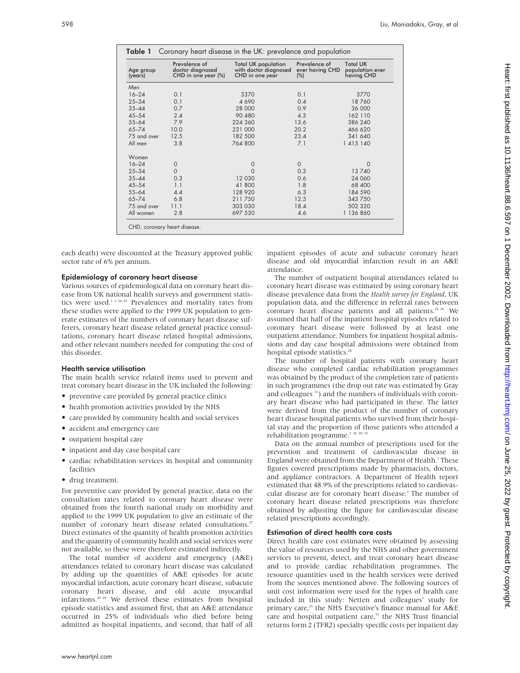| Age group<br>(years) | Prevalence of<br>doctor diagnosed<br>CHD in one year (%) | <b>Total UK population</b><br>with doctor diagnosed<br>CHD in one year | Prevalence of<br>ever having CHD<br>$(\%)$ | <b>Total UK</b><br>population ever<br>having CHD |  |
|----------------------|----------------------------------------------------------|------------------------------------------------------------------------|--------------------------------------------|--------------------------------------------------|--|
| Men                  |                                                          |                                                                        |                                            |                                                  |  |
| $16 - 24$            | 0.1                                                      | 3370                                                                   | 0.1                                        | 3770                                             |  |
| $25 - 34$            | 0.1                                                      | 4 6 9 0                                                                | 0.4                                        | 18760                                            |  |
| $35 - 44$            | 0.7                                                      | 28 000                                                                 | 0.9                                        | 36 000                                           |  |
| $45 - 54$            | 2.4                                                      | 90 480                                                                 | 4.3                                        | 162 110                                          |  |
| $55 - 64$            | 7.9                                                      | 224 360                                                                | 13.6                                       | 386 240                                          |  |
| $65 - 74$            | 10.0                                                     | 231 000                                                                | 20.2                                       | 466 620                                          |  |
| 75 and over          | 12.5                                                     | 182 500                                                                | 23.4                                       | 341 640                                          |  |
| All men              | 3.8                                                      | 764 800                                                                | 7.1                                        | 1 4 1 5 1 4 0                                    |  |
| Women                |                                                          |                                                                        |                                            |                                                  |  |
| $16 - 24$            | $\circ$                                                  | $\circ$                                                                | $\Omega$                                   | $\Omega$                                         |  |
| $25 - 34$            | $\mathbf{O}$                                             | Ω                                                                      | 0.3                                        | 13740                                            |  |
| $35 - 44$            | 0.3                                                      | 12 030                                                                 | 0.6                                        | 24 060                                           |  |
| $45 - 54$            | 1.1                                                      | 41 800                                                                 | 1.8                                        | 68 400                                           |  |
| $55 - 64$            | 4.4                                                      | 128 920                                                                | 6.3                                        | 184 590                                          |  |
| $65 - 74$            | 6.8                                                      | 211750                                                                 | 12.5                                       | 343 750                                          |  |
| 75 and over          | 11.1                                                     | 303 030                                                                | 18.4                                       | 502 320                                          |  |
| All women            | 2.8                                                      | 697 530                                                                | 4.6                                        | 1 136 860                                        |  |

each death) were discounted at the Treasury approved public sector rate of 6% per annum.

## Epidemiology of coronary heart disease

Various sources of epidemiological data on coronary heart disease from UK national health surveys and government statistics were used.<sup>1 2 26-32</sup> Prevalences and mortality rates from these studies were applied to the 1999 UK population to generate estimates of the numbers of coronary heart disease sufferers, coronary heart disease related general practice consultations, coronary heart disease related hospital admissions, and other relevant numbers needed for computing the cost of this disorder.

## Health service utilisation

The main health service related items used to prevent and treat coronary heart disease in the UK included the following:

- preventive care provided by general practice clinics
- health promotion activities provided by the NHS
- care provided by community health and social services
- accident and emergency care
- outpatient hospital care
- inpatient and day case hospital care
- cardiac rehabilitation services in hospital and community facilities
- drug treatment.

For preventive care provided by general practice, data on the consultation rates related to coronary heart disease were obtained from the fourth national study on morbidity and applied to the 1999 UK population to give an estimate of the number of coronary heart disease related consultations.<sup>27</sup> Direct estimates of the quantity of health promotion activities and the quantity of community health and social services were not available, so these were therefore estimated indirectly.

The total number of accident and emergency (A&E) attendances related to coronary heart disease was calculated by adding up the quantities of A&E episodes for acute myocardial infarction, acute coronary heart disease, subacute coronary heart disease, and old acute myocardial infarctions.20 28 We derived these estimates from hospital episode statistics and assumed first, that an A&E attendance occurred in 25% of individuals who died before being admitted as hospital inpatients, and second, that half of all

inpatient episodes of acute and subacute coronary heart disease and old myocardial infarction result in an A&E attendance.

The number of outpatient hospital attendances related to coronary heart disease was estimated by using coronary heart disease prevalence data from the *Health survey for England*, UK population data, and the difference in referral rates between coronary heart disease patients and all patients.<sup>24 26</sup> We assumed that half of the inpatient hospital episodes related to coronary heart disease were followed by at least one outpatient attendance. Numbers for inpatient hospital admissions and day case hospital admissions were obtained from hospital episode statistics.<sup>28</sup>

The number of hospital patients with coronary heart disease who completed cardiac rehabilitation programmes was obtained by the product of the completion rate of patients in such programmes (the drop out rate was estimated by Gray and colleagues <sup>31</sup>) and the numbers of individuals with coronary heart disease who had participated in these. The latter were derived from the product of the number of coronary heart disease hospital patients who survived from their hospital stay and the proportion of those patients who attended a rehabilitation programme.<sup>1 26 30 32</sup>

Data on the annual number of prescriptions used for the prevention and treatment of cardiovascular disease in England were obtained from the Department of Health.<sup>1</sup> These figures covered prescriptions made by pharmacists, doctors, and appliance contractors. A Department of Health report estimated that 48.9% of the prescriptions related to cardiovascular disease are for coronary heart disease.<sup>2</sup> The number of coronary heart disease related prescriptions was therefore obtained by adjusting the figure for cardiovascular disease related prescriptions accordingly.

#### Estimation of direct health care costs

Direct health care cost estimates were obtained by assessing the value of resources used by the NHS and other government services to prevent, detect, and treat coronary heart disease and to provide cardiac rehabilitation programmes. The resource quantities used in the health services were derived from the sources mentioned above. The following sources of unit cost information were used for the types of health care included in this study: Netten and colleagues' study for primary care,<sup>25</sup> the NHS Executive's finance manual for  $A&E$ care and hospital outpatient care,<sup>33</sup> the NHS Trust financial returns form 2 (TFR2) specialty specific costs per inpatient day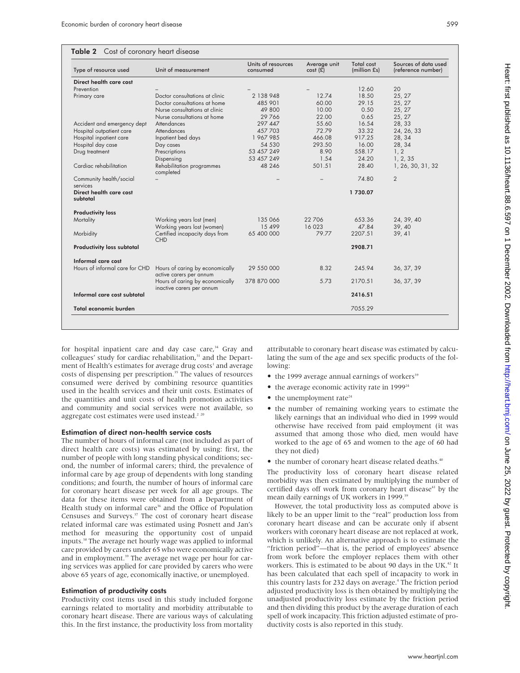| Table 2 Cost of coronary heart disease |  |  |
|----------------------------------------|--|--|
|----------------------------------------|--|--|

| Type of resource used                           | Unit of measurement                                          | Units of resources<br>consumed | Average unit<br>$cost(\tilde{\mathbf{f}})$ | Total cost<br>(million £s) | Sources of data used<br>(reference number) |
|-------------------------------------------------|--------------------------------------------------------------|--------------------------------|--------------------------------------------|----------------------------|--------------------------------------------|
| Direct health care cost                         |                                                              |                                |                                            |                            |                                            |
| Prevention                                      |                                                              |                                |                                            | 12.60                      | 20                                         |
| Primary care                                    | Doctor consultations at clinic                               | 2 138 948                      | 12.74                                      | 18.50                      | 25, 27                                     |
|                                                 | Doctor consultations at home                                 | 485 901                        | 60.00                                      | 29.15                      | 25, 27                                     |
|                                                 | Nurse consultations at clinic                                | 49 800                         | 10.00                                      | 0.50                       | 25, 27                                     |
|                                                 | Nurse consultations at home                                  | 29766                          | 22.00                                      | 0.65                       | 25, 27                                     |
| Accident and emergency dept                     | Attendances                                                  | 297 447                        | 55.60                                      | 16.54                      | 28, 33                                     |
| Hospital outpatient care                        | Attendances                                                  | 457703                         | 72.79                                      | 33.32                      | 24, 26, 33                                 |
| Hospital inpatient care                         | Inpatient bed days                                           | 1 967 985                      | 466.08                                     | 917.25                     | 28, 34                                     |
| Hospital day case                               | Day cases                                                    | 54 530                         | 293.50                                     | 16.00                      | 28, 34                                     |
| Drug treatment                                  | Prescriptions                                                | 53 457 249                     | 8.90                                       | 558.17                     | 1, 2                                       |
|                                                 | Dispensing                                                   | 53 457 249                     | 1.54                                       | 24.20                      | 1, 2, 35                                   |
| Cardiac rehabilitation                          | Rehabilitation programmes<br>completed                       | 48 246                         | 501.51                                     | 28.40                      | 1, 26, 30, 31, 32                          |
| Community health/social                         |                                                              |                                |                                            | 74.80                      | $\overline{2}$                             |
| services<br>Direct health care cost<br>subtotal |                                                              |                                |                                            | 1730.07                    |                                            |
| <b>Productivity loss</b>                        |                                                              |                                |                                            |                            |                                            |
| Mortality                                       | Working years lost (men)                                     | 135 066                        | 22 706                                     | 653.36                     | 24, 39, 40                                 |
|                                                 | Working years lost (women)                                   | 15 499                         | 16023                                      | 47.84                      | 39, 40                                     |
| Morbidity                                       | Certified incapacity days from<br><b>CHD</b>                 | 65 400 000                     | 79.77                                      | 2207.51                    | 39, 41                                     |
| <b>Productivity loss subtotal</b>               |                                                              |                                |                                            | 2908.71                    |                                            |
| Informal care cost                              |                                                              |                                |                                            |                            |                                            |
| Hours of informal care for CHD                  | Hours of caring by economically<br>active carers per annum   | 29 550 000                     | 8.32                                       | 245.94                     | 36, 37, 39                                 |
|                                                 | Hours of caring by economically<br>inactive carers per annum | 378 870 000                    | 5.73                                       | 2170.51                    | 36, 37, 39                                 |
| Informal care cost subtotal                     |                                                              |                                |                                            | 2416.51                    |                                            |
| Total economic burden                           |                                                              |                                |                                            | 7055.29                    |                                            |

for hospital inpatient care and day case care,<sup>34</sup> Gray and colleagues' study for cardiac rehabilitation,<sup>31</sup> and the Department of Health's estimates for average drug costs<sup>1</sup> and average costs of dispensing per prescription.<sup>35</sup> The values of resources consumed were derived by combining resource quantities used in the health services and their unit costs. Estimates of the quantities and unit costs of health promotion activities and community and social services were not available, so aggregate cost estimates were used instead.<sup>2 20</sup>

#### Estimation of direct non-health service costs

The number of hours of informal care (not included as part of direct health care costs) was estimated by using: first, the number of people with long standing physical conditions; second, the number of informal carers; third, the prevalence of informal care by age group of dependents with long standing conditions; and fourth, the number of hours of informal care for coronary heart disease per week for all age groups. The data for these items were obtained from a Department of Health study on informal care<sup>36</sup> and the Office of Population Censuses and Surveys.<sup>37</sup> The cost of coronary heart disease related informal care was estimated using Posnett and Jan's method for measuring the opportunity cost of unpaid inputs.38 The average net hourly wage was applied to informal care provided by carers under 65 who were economically active and in employment.<sup>39</sup> The average net wage per hour for caring services was applied for care provided by carers who were above 65 years of age, economically inactive, or unemployed.

## Estimation of productivity costs

Productivity cost items used in this study included forgone earnings related to mortality and morbidity attributable to coronary heart disease. There are various ways of calculating this. In the first instance, the productivity loss from mortality

attributable to coronary heart disease was estimated by calculating the sum of the age and sex specific products of the following:

- $\bullet$  the 1999 average annual earnings of workers<sup>39</sup>
- the average economic activity rate in 1999<sup>24</sup>
- $\bullet$  the unemployment rate<sup>24</sup>
- the number of remaining working years to estimate the likely earnings that an individual who died in 1999 would otherwise have received from paid employment (it was assumed that among those who died, men would have worked to the age of 65 and women to the age of 60 had they not died)
- the number of coronary heart disease related deaths.<sup>40</sup>

The productivity loss of coronary heart disease related morbidity was then estimated by multiplying the number of certified days off work from coronary heart disease<sup>41</sup> by the mean daily earnings of UK workers in 1999.<sup>39</sup>

However, the total productivity loss as computed above is likely to be an upper limit to the "real" production loss from coronary heart disease and can be accurate only if absent workers with coronary heart disease are not replaced at work, which is unlikely. An alternative approach is to estimate the "friction period"—that is, the period of employees' absence from work before the employer replaces them with other workers. This is estimated to be about 90 days in the UK.<sup>42</sup> It has been calculated that each spell of incapacity to work in this country lasts for 232 days on average.<sup>4</sup> The friction period adjusted productivity loss is then obtained by multiplying the unadjusted productivity loss estimate by the friction period and then dividing this product by the average duration of each spell of work incapacity. This friction adjusted estimate of productivity costs is also reported in this study.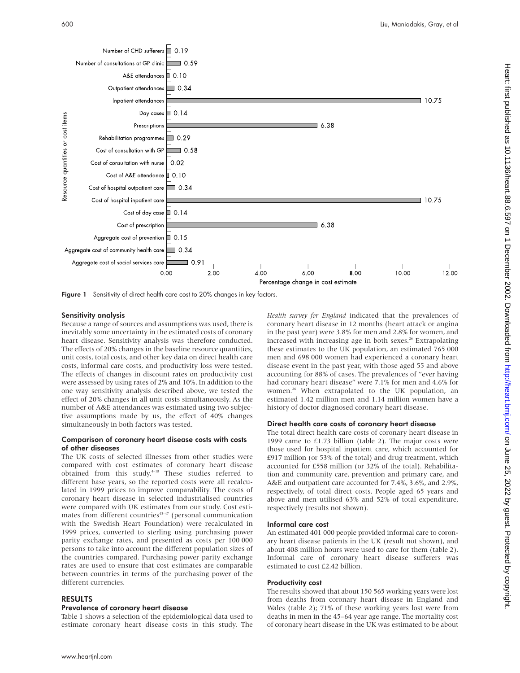

Figure 1 Sensitivity of direct health care cost to 20% changes in key factors.

### Sensitivity analysis

Because a range of sources and assumptions was used, there is inevitably some uncertainty in the estimated costs of coronary heart disease. Sensitivity analysis was therefore conducted. The effects of 20% changes in the baseline resource quantities, unit costs, total costs, and other key data on direct health care costs, informal care costs, and productivity loss were tested. The effects of changes in discount rates on productivity cost were assessed by using rates of 2% and 10%. In addition to the one way sensitivity analysis described above, we tested the effect of 20% changes in all unit costs simultaneously. As the number of A&E attendances was estimated using two subjective assumptions made by us, the effect of 40% changes simultaneously in both factors was tested.

## Comparison of coronary heart disease costs with costs of other diseases

The UK costs of selected illnesses from other studies were compared with cost estimates of coronary heart disease obtained from this study.<sup>4-18</sup> These studies referred to different base years, so the reported costs were all recalculated in 1999 prices to improve comparability. The costs of coronary heart disease in selected industrialised countries were compared with UK estimates from our study. Cost estimates from different countries $43-47$  (personal communication with the Swedish Heart Foundation) were recalculated in 1999 prices, converted to sterling using purchasing power parity exchange rates, and presented as costs per 100 000 persons to take into account the different population sizes of the countries compared. Purchasing power parity exchange rates are used to ensure that cost estimates are comparable between countries in terms of the purchasing power of the different currencies.

## RESULTS

#### Prevalence of coronary heart disease

Table 1 shows a selection of the epidemiological data used to estimate coronary heart disease costs in this study. The *Health survey for England* indicated that the prevalences of coronary heart disease in 12 months (heart attack or angina in the past year) were 3.8% for men and 2.8% for women, and increased with increasing age in both sexes.<sup>26</sup> Extrapolating these estimates to the UK population, an estimated 765 000 men and 698 000 women had experienced a coronary heart disease event in the past year, with those aged 55 and above accounting for 88% of cases. The prevalences of "ever having had coronary heart disease" were 7.1% for men and 4.6% for women.<sup>26</sup> When extrapolated to the UK population, an estimated 1.42 million men and 1.14 million women have a history of doctor diagnosed coronary heart disease.

#### Direct health care costs of coronary heart disease

The total direct health care costs of coronary heart disease in 1999 came to £1.73 billion (table 2). The major costs were those used for hospital inpatient care, which accounted for £917 million (or 53% of the total) and drug treatment, which accounted for £558 million (or 32% of the total). Rehabilitation and community care, prevention and primary care, and A&E and outpatient care accounted for 7.4%, 3.6%, and 2.9%, respectively, of total direct costs. People aged 65 years and above and men utilised 63% and 52% of total expenditure, respectively (results not shown).

## Informal care cost

An estimated 401 000 people provided informal care to coronary heart disease patients in the UK (result not shown), and about 408 million hours were used to care for them (table 2). Informal care of coronary heart disease sufferers was estimated to cost £2.42 billion.

#### Productivity cost

The results showed that about 150 565 working years were lost from deaths from coronary heart disease in England and Wales (table 2); 71% of these working years lost were from deaths in men in the 45–64 year age range. The mortality cost of coronary heart disease in the UK was estimated to be about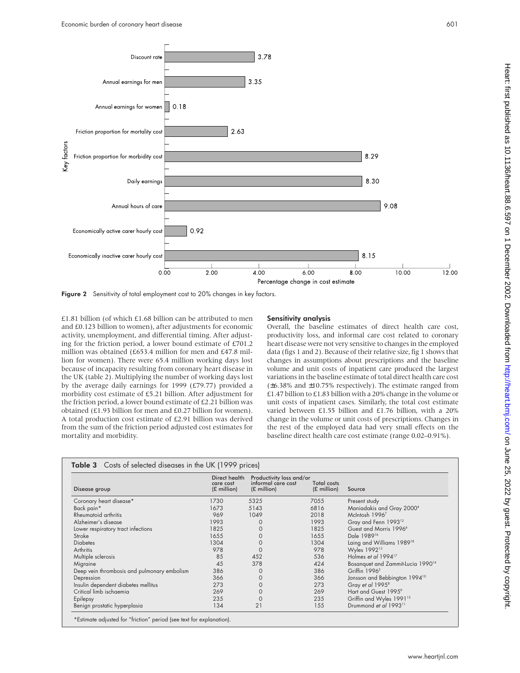

Figure 2 Sensitivity of total employment cost to 20% changes in key factors.

£1.81 billion (of which £1.68 billion can be attributed to men and £0.123 billion to women), after adjustments for economic activity, unemployment, and differential timing. After adjusting for the friction period, a lower bound estimate of £701.2 million was obtained (£653.4 million for men and £47.8 million for women). There were 65.4 million working days lost because of incapacity resulting from coronary heart disease in the UK (table 2). Multiplying the number of working days lost by the average daily earnings for 1999 (£79.77) provided a morbidity cost estimate of £5.21 billion. After adjustment for the friction period, a lower bound estimate of £2.21 billion was obtained (£1.93 billion for men and £0.27 billion for women). A total production cost estimate of £2.91 billion was derived from the sum of the friction period adjusted cost estimates for mortality and morbidity.

## Sensitivity analysis

Overall, the baseline estimates of direct health care cost, productivity loss, and informal care cost related to coronary heart disease were not very sensitive to changes in the employed data (figs 1 and 2). Because of their relative size, fig 1 shows that changes in assumptions about prescriptions and the baseline volume and unit costs of inpatient care produced the largest variations in the baseline estimate of total direct health care cost (±6.38% and ±10.75% respectively). The estimate ranged from £1.47 billion to £1.83 billion with a 20% change in the volume or unit costs of inpatient cases. Similarly, the total cost estimate varied between £1.55 billion and £1.76 billion, with a 20% change in the volume or unit costs of prescriptions. Changes in the rest of the employed data had very small effects on the baseline direct health care cost estimate (range 0.02–0.91%).

| Disease group                               | Direct health<br>care cost<br>$(E \text{ million})$ | Productivity loss and/or<br>informal care cost<br>$(E \text{ million})$ | <b>Total costs</b><br>$(E \text{ million})$ | Source                                        |  |
|---------------------------------------------|-----------------------------------------------------|-------------------------------------------------------------------------|---------------------------------------------|-----------------------------------------------|--|
| Coronary heart disease*                     | 1730                                                | 5325                                                                    | 7055                                        | Present study                                 |  |
| Back pain*                                  | 1673                                                | 5143                                                                    | 6816                                        | Maniadakis and Gray 2000 <sup>4</sup>         |  |
| Rheumatoid arthritis                        | 969                                                 | 1049                                                                    | 2018                                        | McIntosh 19967                                |  |
| Alzheimer's disease                         | 1993                                                |                                                                         | 1993                                        | Gray and Fenn 1993 <sup>12</sup>              |  |
| Lower respiratory tract infections          | 1825                                                |                                                                         | 1825                                        | Guest and Morris 1996 <sup>6</sup>            |  |
| Stroke                                      | 1655                                                |                                                                         | 1655                                        | Dale 1989 <sup>16</sup>                       |  |
| <b>Diabetes</b>                             | 1304                                                |                                                                         | 1304                                        | Laing and Williams 1989 <sup>18</sup>         |  |
| Arthritis                                   | 978                                                 | C                                                                       | 978                                         | Wyles 1992 <sup>13</sup>                      |  |
| Multiple sclerosis                          | 85                                                  | 452                                                                     | 536                                         | Holmes et al 1994 <sup>17</sup>               |  |
| Migraine                                    | 45                                                  | 378                                                                     | 424                                         | Bosanquet and Zammit-Lucia 1990 <sup>14</sup> |  |
| Deep vein thrombosis and pulmonary embolism | 386                                                 |                                                                         | 386                                         | Griffin 1996 <sup>5</sup>                     |  |
| Depression                                  | 366                                                 |                                                                         | 366                                         | Jonsson and Bebbington 1994 <sup>10</sup>     |  |
| Insulin dependent diabetes mellitus         | 273                                                 |                                                                         | 273                                         | Gray et al 1995 <sup>8</sup>                  |  |
| Critical limb ischaemia                     | 269                                                 | 0                                                                       | 269                                         | Hart and Guest 1995 <sup>9</sup>              |  |
| Epilepsy                                    | 235                                                 | 0                                                                       | 235                                         | Griffin and Wyles 1991 <sup>15</sup>          |  |
| Benign prostatic hyperplasia                | 134                                                 | 21                                                                      | 155                                         | Drummond et al 1993 <sup>11</sup>             |  |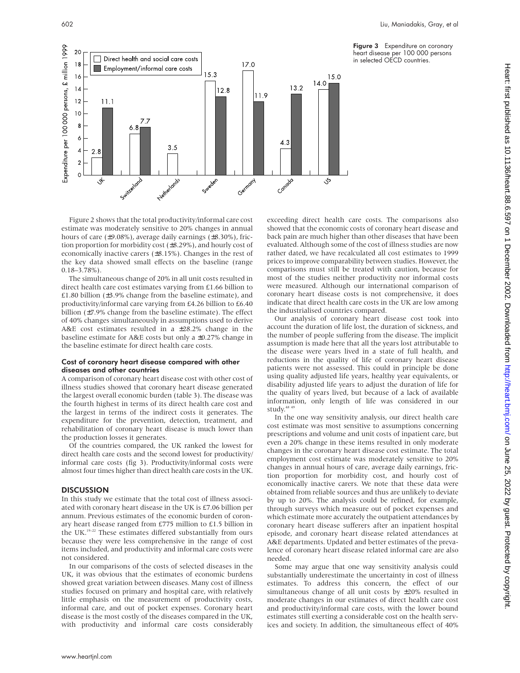Figure 3 Expenditure on coronary heart disease per 100 000 persons in selected OECD countries.



Figure 2 shows that the total productivity/informal care cost estimate was moderately sensitive to 20% changes in annual hours of care (±9.08%), average daily earnings (±8.30%), friction proportion for morbidity cost (±8.29%), and hourly cost of economically inactive carers (±8.15%). Changes in the rest of the key data showed small effects on the baseline (range  $0.18 - 3.78\%$ ).

The simultaneous change of 20% in all unit costs resulted in direct health care cost estimates varying from £1.66 billion to £1.80 billion (±3.9% change from the baseline estimate), and productivity/informal care varying from £4.26 billion to £6.40 billion (±7.9% change from the baseline estimate). The effect of 40% changes simultaneously in assumptions used to derive A&E cost estimates resulted in a ±28.2% change in the baseline estimate for A&E costs but only a ±0.27% change in the baseline estimate for direct health care costs.

## Cost of coronary heart disease compared with other diseases and other countries

A comparison of coronary heart disease cost with other cost of illness studies showed that coronary heart disease generated the largest overall economic burden (table 3). The disease was the fourth highest in terms of its direct health care cost and the largest in terms of the indirect costs it generates. The expenditure for the prevention, detection, treatment, and rehabilitation of coronary heart disease is much lower than the production losses it generates.

Of the countries compared, the UK ranked the lowest for direct health care costs and the second lowest for productivity/ informal care costs (fig 3). Productivity/informal costs were almost four times higher than direct health care costs in the UK.

## **DISCUSSION**

In this study we estimate that the total cost of illness associated with coronary heart disease in the UK is £7.06 billion per annum. Previous estimates of the economic burden of coronary heart disease ranged from £775 million to £1.5 billion in the UK.19–22 These estimates differed substantially from ours because they were less comprehensive in the range of cost items included, and productivity and informal care costs were not considered.

In our comparisons of the costs of selected diseases in the UK, it was obvious that the estimates of economic burdens showed great variation between diseases. Many cost of illness studies focused on primary and hospital care, with relatively little emphasis on the measurement of productivity costs, informal care, and out of pocket expenses. Coronary heart disease is the most costly of the diseases compared in the UK, with productivity and informal care costs considerably

exceeding direct health care costs. The comparisons also showed that the economic costs of coronary heart disease and back pain are much higher than other diseases that have been evaluated. Although some of the cost of illness studies are now rather dated, we have recalculated all cost estimates to 1999 prices to improve comparability between studies. However, the comparisons must still be treated with caution, because for most of the studies neither productivity nor informal costs were measured. Although our international comparison of coronary heart disease costs is not comprehensive, it does indicate that direct health care costs in the UK are low among the industrialised countries compared.

Our analysis of coronary heart disease cost took into account the duration of life lost, the duration of sickness, and the number of people suffering from the disease. The implicit assumption is made here that all the years lost attributable to the disease were years lived in a state of full health, and reductions in the quality of life of coronary heart disease patients were not assessed. This could in principle be done using quality adjusted life years, healthy year equivalents, or disability adjusted life years to adjust the duration of life for the quality of years lived, but because of a lack of available information, only length of life was considered in our study.<sup>48</sup>

In the one way sensitivity analysis, our direct health care cost estimate was most sensitive to assumptions concerning prescriptions and volume and unit costs of inpatient care, but even a 20% change in these items resulted in only moderate changes in the coronary heart disease cost estimate. The total employment cost estimate was moderately sensitive to 20% changes in annual hours of care, average daily earnings, friction proportion for morbidity cost, and hourly cost of economically inactive carers. We note that these data were obtained from reliable sources and thus are unlikely to deviate by up to 20%. The analysis could be refined, for example, through surveys which measure out of pocket expenses and which estimate more accurately the outpatient attendances by coronary heart disease sufferers after an inpatient hospital episode, and coronary heart disease related attendances at A&E departments. Updated and better estimates of the prevalence of coronary heart disease related informal care are also needed.

Some may argue that one way sensitivity analysis could substantially underestimate the uncertainty in cost of illness estimates. To address this concern, the effect of our simultaneous change of all unit costs by ±20% resulted in moderate changes in our estimates of direct health care cost and productivity/informal care costs, with the lower bound estimates still exerting a considerable cost on the health services and society. In addition, the simultaneous effect of 40%